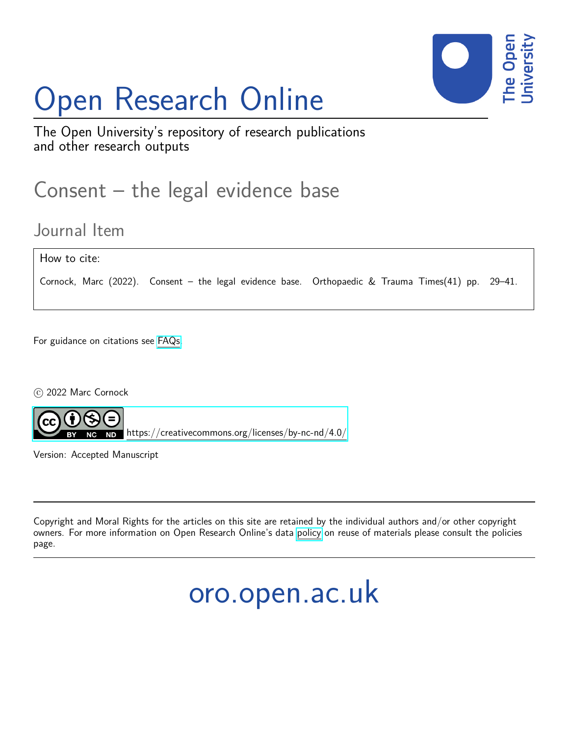# Open Research Online



The Open University's repository of research publications and other research outputs

## Consent – the legal evidence base

### Journal Item

How to cite:

Cornock, Marc (2022). Consent – the legal evidence base. Orthopaedic & Trauma Times(41) pp. 29–41.

For guidance on citations see [FAQs.](http://oro.open.ac.uk/help/helpfaq.html)

 $\circ$  2022 Marc Cornock



<https://creativecommons.org/licenses/by-nc-nd/4.0/>

Version: Accepted Manuscript

Copyright and Moral Rights for the articles on this site are retained by the individual authors and/or other copyright owners. For more information on Open Research Online's data [policy](http://oro.open.ac.uk/policies.html) on reuse of materials please consult the policies page.

## oro.open.ac.uk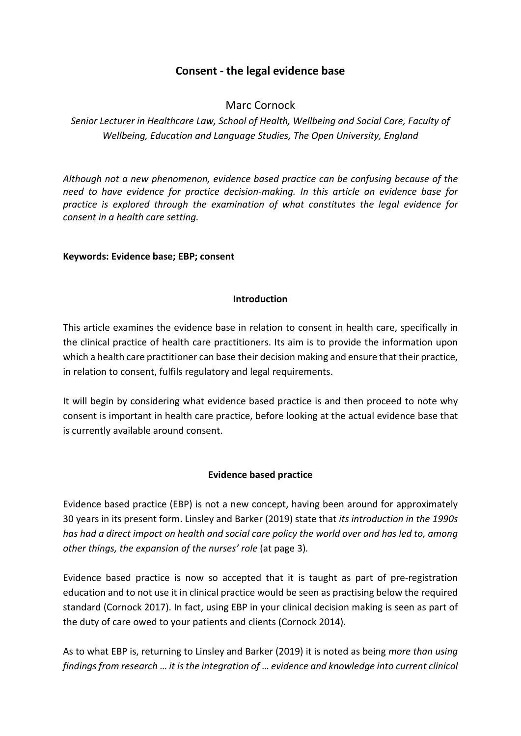#### **Consent - the legal evidence base**

#### Marc Cornock

#### *Senior Lecturer in Healthcare Law, School of Health, Wellbeing and Social Care, Faculty of Wellbeing, Education and Language Studies, The Open University, England*

*Although not a new phenomenon, evidence based practice can be confusing because of the need to have evidence for practice decision-making. In this article an evidence base for practice is explored through the examination of what constitutes the legal evidence for consent in a health care setting.* 

#### **Keywords: Evidence base; EBP; consent**

#### **Introduction**

This article examines the evidence base in relation to consent in health care, specifically in the clinical practice of health care practitioners. Its aim is to provide the information upon which a health care practitioner can base their decision making and ensure that their practice, in relation to consent, fulfils regulatory and legal requirements.

It will begin by considering what evidence based practice is and then proceed to note why consent is important in health care practice, before looking at the actual evidence base that is currently available around consent.

#### **Evidence based practice**

Evidence based practice (EBP) is not a new concept, having been around for approximately 30 years in its present form. Linsley and Barker (2019) state that *its introduction in the 1990s has had a direct impact on health and social care policy the world over and has led to, among other things, the expansion of the nurses' role* (at page 3)*.*

Evidence based practice is now so accepted that it is taught as part of pre-registration education and to not use it in clinical practice would be seen as practising below the required standard (Cornock 2017). In fact, using EBP in your clinical decision making is seen as part of the duty of care owed to your patients and clients (Cornock 2014).

As to what EBP is, returning to Linsley and Barker (2019) it is noted as being *more than using findings from research* … *it is the integration of* … *evidence and knowledge into current clinical*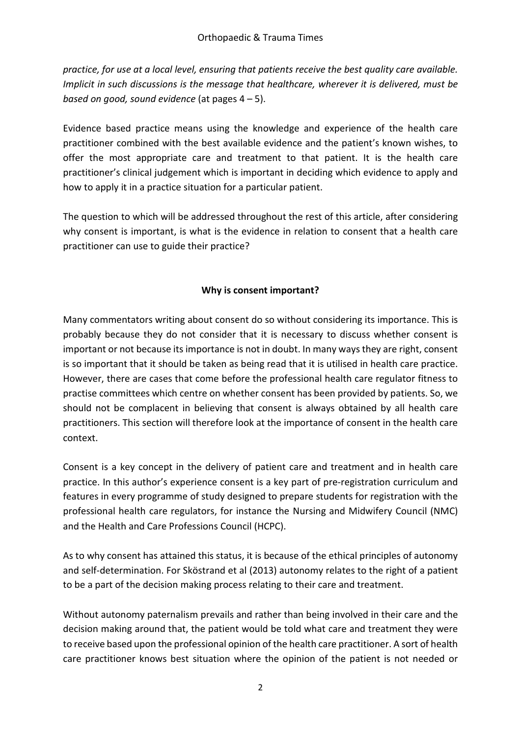*practice, for use at a local level, ensuring that patients receive the best quality care available. Implicit in such discussions is the message that healthcare, wherever it is delivered, must be based on good, sound evidence* (at pages 4 – 5).

Evidence based practice means using the knowledge and experience of the health care practitioner combined with the best available evidence and the patient's known wishes, to offer the most appropriate care and treatment to that patient. It is the health care practitioner's clinical judgement which is important in deciding which evidence to apply and how to apply it in a practice situation for a particular patient.

The question to which will be addressed throughout the rest of this article, after considering why consent is important, is what is the evidence in relation to consent that a health care practitioner can use to guide their practice?

#### **Why is consent important?**

Many commentators writing about consent do so without considering its importance. This is probably because they do not consider that it is necessary to discuss whether consent is important or not because its importance is not in doubt. In many ways they are right, consent is so important that it should be taken as being read that it is utilised in health care practice. However, there are cases that come before the professional health care regulator fitness to practise committees which centre on whether consent has been provided by patients. So, we should not be complacent in believing that consent is always obtained by all health care practitioners. This section will therefore look at the importance of consent in the health care context.

Consent is a key concept in the delivery of patient care and treatment and in health care practice. In this author's experience consent is a key part of pre-registration curriculum and features in every programme of study designed to prepare students for registration with the professional health care regulators, for instance the Nursing and Midwifery Council (NMC) and the Health and Care Professions Council (HCPC).

As to why consent has attained this status, it is because of the ethical principles of autonomy and self-determination. For Sköstrand et al (2013) autonomy relates to the right of a patient to be a part of the decision making process relating to their care and treatment.

Without autonomy paternalism prevails and rather than being involved in their care and the decision making around that, the patient would be told what care and treatment they were to receive based upon the professional opinion of the health care practitioner. A sort of health care practitioner knows best situation where the opinion of the patient is not needed or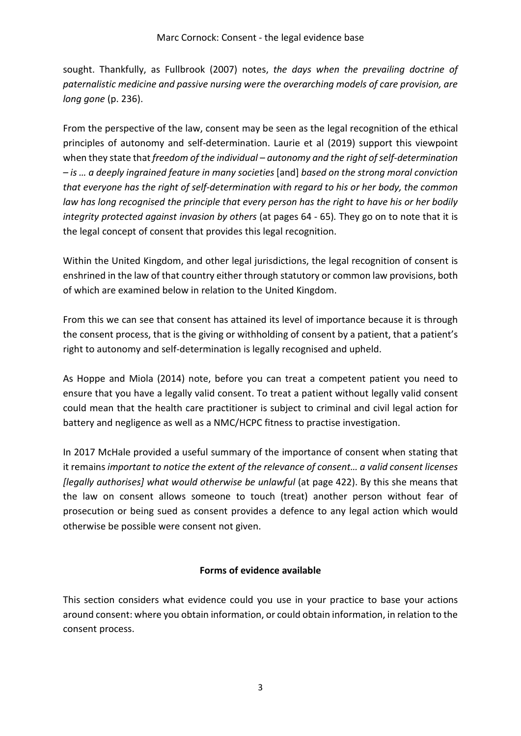sought. Thankfully, as Fullbrook (2007) notes, *the days when the prevailing doctrine of paternalistic medicine and passive nursing were the overarching models of care provision, are long gone* (p. 236).

From the perspective of the law, consent may be seen as the legal recognition of the ethical principles of autonomy and self-determination. Laurie et al (2019) support this viewpoint when they state that *freedom of the individual – autonomy and the right of self-determination – is … a deeply ingrained feature in many societies* [and] *based on the strong moral conviction that everyone has the right of self-determination with regard to his or her body, the common law has long recognised the principle that every person has the right to have his or her bodily integrity protected against invasion by others* (at pages 64 - 65)*.* They go on to note that it is the legal concept of consent that provides this legal recognition.

Within the United Kingdom, and other legal jurisdictions, the legal recognition of consent is enshrined in the law of that country either through statutory or common law provisions, both of which are examined below in relation to the United Kingdom.

From this we can see that consent has attained its level of importance because it is through the consent process, that is the giving or withholding of consent by a patient, that a patient's right to autonomy and self-determination is legally recognised and upheld.

As Hoppe and Miola (2014) note, before you can treat a competent patient you need to ensure that you have a legally valid consent. To treat a patient without legally valid consent could mean that the health care practitioner is subject to criminal and civil legal action for battery and negligence as well as a NMC/HCPC fitness to practise investigation.

In 2017 McHale provided a useful summary of the importance of consent when stating that it remains *important to notice the extent of the relevance of consent… a valid consent licenses [legally authorises] what would otherwise be unlawful* (at page 422). By this she means that the law on consent allows someone to touch (treat) another person without fear of prosecution or being sued as consent provides a defence to any legal action which would otherwise be possible were consent not given.

#### **Forms of evidence available**

This section considers what evidence could you use in your practice to base your actions around consent: where you obtain information, or could obtain information, in relation to the consent process.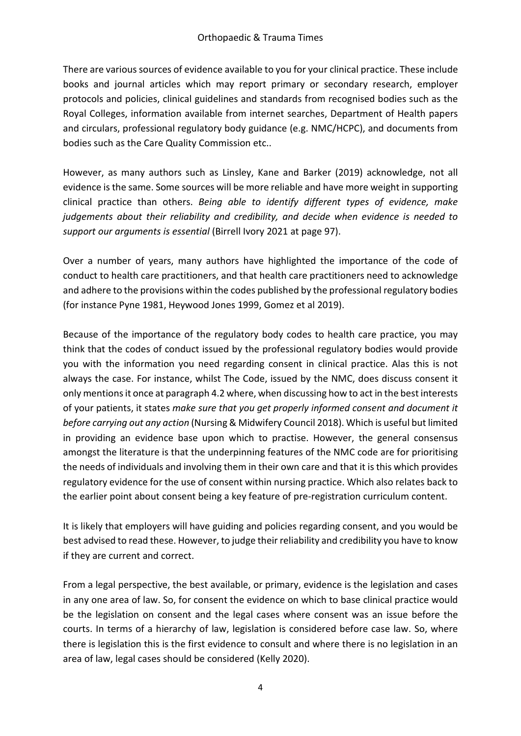There are various sources of evidence available to you for your clinical practice. These include books and journal articles which may report primary or secondary research, employer protocols and policies, clinical guidelines and standards from recognised bodies such as the Royal Colleges, information available from internet searches, Department of Health papers and circulars, professional regulatory body guidance (e.g. NMC/HCPC), and documents from bodies such as the Care Quality Commission etc..

However, as many authors such as Linsley, Kane and Barker (2019) acknowledge, not all evidence is the same. Some sources will be more reliable and have more weight in supporting clinical practice than others. *Being able to identify different types of evidence, make judgements about their reliability and credibility, and decide when evidence is needed to support our arguments is essential* (Birrell Ivory 2021 at page 97).

Over a number of years, many authors have highlighted the importance of the code of conduct to health care practitioners, and that health care practitioners need to acknowledge and adhere to the provisions within the codes published by the professional regulatory bodies (for instance Pyne 1981, Heywood Jones 1999, Gomez et al 2019).

Because of the importance of the regulatory body codes to health care practice, you may think that the codes of conduct issued by the professional regulatory bodies would provide you with the information you need regarding consent in clinical practice. Alas this is not always the case. For instance, whilst The Code, issued by the NMC, does discuss consent it only mentions it once at paragraph 4.2 where, when discussing how to act in the best interests of your patients, it states *make sure that you get properly informed consent and document it before carrying out any action* (Nursing & Midwifery Council 2018). Which is useful but limited in providing an evidence base upon which to practise. However, the general consensus amongst the literature is that the underpinning features of the NMC code are for prioritising the needs of individuals and involving them in their own care and that it is this which provides regulatory evidence for the use of consent within nursing practice. Which also relates back to the earlier point about consent being a key feature of pre-registration curriculum content.

It is likely that employers will have guiding and policies regarding consent, and you would be best advised to read these. However, to judge their reliability and credibility you have to know if they are current and correct.

From a legal perspective, the best available, or primary, evidence is the legislation and cases in any one area of law. So, for consent the evidence on which to base clinical practice would be the legislation on consent and the legal cases where consent was an issue before the courts. In terms of a hierarchy of law, legislation is considered before case law. So, where there is legislation this is the first evidence to consult and where there is no legislation in an area of law, legal cases should be considered (Kelly 2020).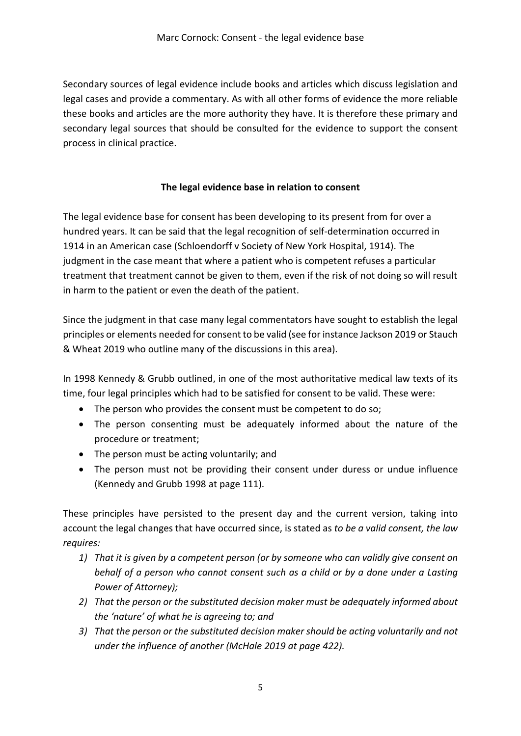Secondary sources of legal evidence include books and articles which discuss legislation and legal cases and provide a commentary. As with all other forms of evidence the more reliable these books and articles are the more authority they have. It is therefore these primary and secondary legal sources that should be consulted for the evidence to support the consent process in clinical practice.

#### **The legal evidence base in relation to consent**

The legal evidence base for consent has been developing to its present from for over a hundred years. It can be said that the legal recognition of self-determination occurred in 1914 in an American case (Schloendorff v Society of New York Hospital, 1914). The judgment in the case meant that where a patient who is competent refuses a particular treatment that treatment cannot be given to them, even if the risk of not doing so will result in harm to the patient or even the death of the patient.

Since the judgment in that case many legal commentators have sought to establish the legal principles or elements needed for consent to be valid (see for instance Jackson 2019 or Stauch & Wheat 2019 who outline many of the discussions in this area).

In 1998 Kennedy & Grubb outlined, in one of the most authoritative medical law texts of its time, four legal principles which had to be satisfied for consent to be valid. These were:

- The person who provides the consent must be competent to do so;
- The person consenting must be adequately informed about the nature of the procedure or treatment;
- The person must be acting voluntarily; and
- The person must not be providing their consent under duress or undue influence (Kennedy and Grubb 1998 at page 111).

These principles have persisted to the present day and the current version, taking into account the legal changes that have occurred since, is stated as *to be a valid consent, the law requires:*

- *1) That it is given by a competent person (or by someone who can validly give consent on behalf of a person who cannot consent such as a child or by a done under a Lasting Power of Attorney);*
- *2) That the person or the substituted decision maker must be adequately informed about the 'nature' of what he is agreeing to; and*
- *3) That the person or the substituted decision maker should be acting voluntarily and not under the influence of another (McHale 2019 at page 422).*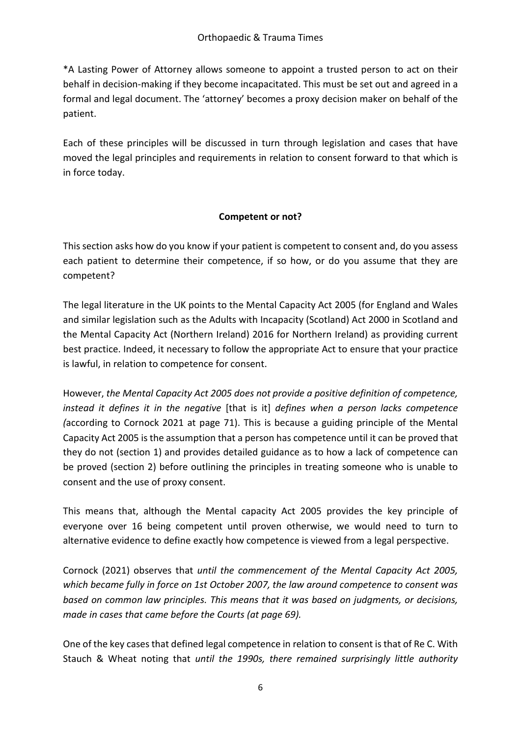\*A Lasting Power of Attorney allows someone to appoint a trusted person to act on their behalf in decision-making if they become incapacitated. This must be set out and agreed in a formal and legal document. The 'attorney' becomes a proxy decision maker on behalf of the patient.

Each of these principles will be discussed in turn through legislation and cases that have moved the legal principles and requirements in relation to consent forward to that which is in force today.

#### **Competent or not?**

This section asks how do you know if your patient is competent to consent and, do you assess each patient to determine their competence, if so how, or do you assume that they are competent?

The legal literature in the UK points to the Mental Capacity Act 2005 (for England and Wales and similar legislation such as the Adults with Incapacity (Scotland) Act 2000 in Scotland and the Mental Capacity Act (Northern Ireland) 2016 for Northern Ireland) as providing current best practice. Indeed, it necessary to follow the appropriate Act to ensure that your practice is lawful, in relation to competence for consent.

However, *the Mental Capacity Act 2005 does not provide a positive definition of competence, instead it defines it in the negative* [that is it] *defines when a person lacks competence (*according to Cornock 2021 at page 71). This is because a guiding principle of the Mental Capacity Act 2005 is the assumption that a person has competence until it can be proved that they do not (section 1) and provides detailed guidance as to how a lack of competence can be proved (section 2) before outlining the principles in treating someone who is unable to consent and the use of proxy consent.

This means that, although the Mental capacity Act 2005 provides the key principle of everyone over 16 being competent until proven otherwise, we would need to turn to alternative evidence to define exactly how competence is viewed from a legal perspective.

Cornock (2021) observes that *until the commencement of the Mental Capacity Act 2005, which became fully in force on 1st October 2007, the law around competence to consent was based on common law principles. This means that it was based on judgments, or decisions, made in cases that came before the Courts (at page 69).*

One of the key cases that defined legal competence in relation to consent is that of Re C. With Stauch & Wheat noting that *until the 1990s, there remained surprisingly little authority*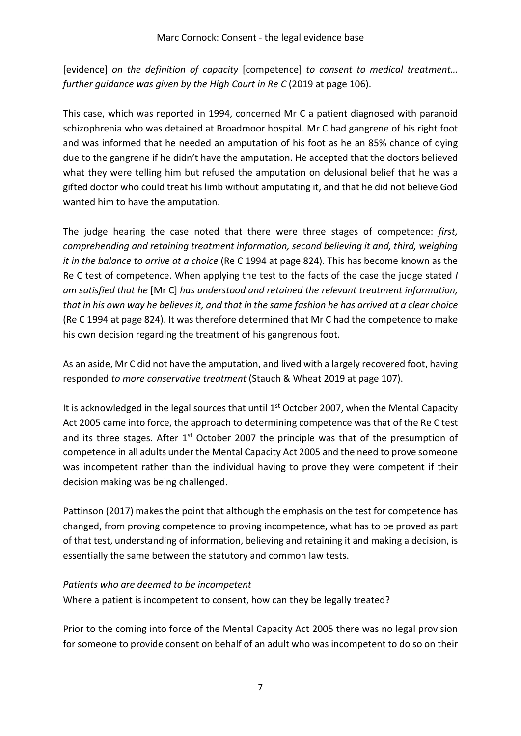[evidence] *on the definition of capacity* [competence] *to consent to medical treatment… further guidance was given by the High Court in Re C* (2019 at page 106).

This case, which was reported in 1994, concerned Mr C a patient diagnosed with paranoid schizophrenia who was detained at Broadmoor hospital. Mr C had gangrene of his right foot and was informed that he needed an amputation of his foot as he an 85% chance of dying due to the gangrene if he didn't have the amputation. He accepted that the doctors believed what they were telling him but refused the amputation on delusional belief that he was a gifted doctor who could treat his limb without amputating it, and that he did not believe God wanted him to have the amputation.

The judge hearing the case noted that there were three stages of competence: *first, comprehending and retaining treatment information, second believing it and, third, weighing it in the balance to arrive at a choice* (Re C 1994 at page 824). This has become known as the Re C test of competence. When applying the test to the facts of the case the judge stated *I am satisfied that he* [Mr C] *has understood and retained the relevant treatment information, that in his own way he believes it, and that in the same fashion he has arrived at a clear choice* (Re C 1994 at page 824). It was therefore determined that Mr C had the competence to make his own decision regarding the treatment of his gangrenous foot.

As an aside, Mr C did not have the amputation, and lived with a largely recovered foot, having responded *to more conservative treatment* (Stauch & Wheat 2019 at page 107).

It is acknowledged in the legal sources that until 1<sup>st</sup> October 2007, when the Mental Capacity Act 2005 came into force, the approach to determining competence was that of the Re C test and its three stages. After  $1<sup>st</sup>$  October 2007 the principle was that of the presumption of competence in all adults under the Mental Capacity Act 2005 and the need to prove someone was incompetent rather than the individual having to prove they were competent if their decision making was being challenged.

Pattinson (2017) makes the point that although the emphasis on the test for competence has changed, from proving competence to proving incompetence, what has to be proved as part of that test, understanding of information, believing and retaining it and making a decision, is essentially the same between the statutory and common law tests.

#### *Patients who are deemed to be incompetent*

Where a patient is incompetent to consent, how can they be legally treated?

Prior to the coming into force of the Mental Capacity Act 2005 there was no legal provision for someone to provide consent on behalf of an adult who was incompetent to do so on their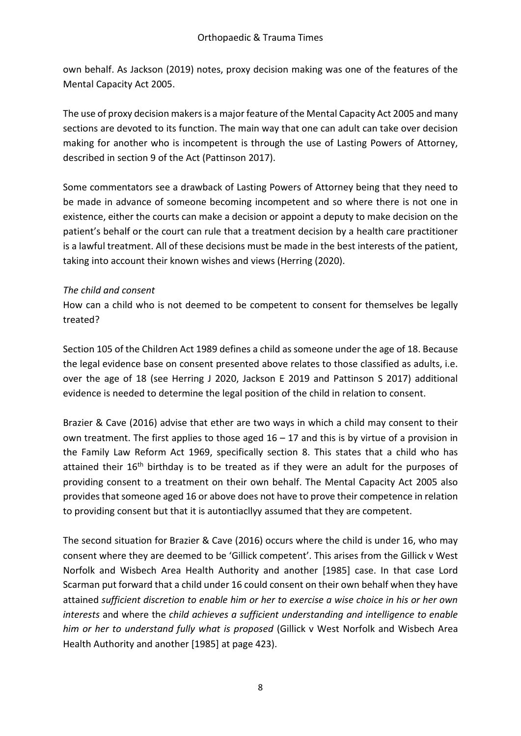own behalf. As Jackson (2019) notes, proxy decision making was one of the features of the Mental Capacity Act 2005.

The use of proxy decision makers is a major feature of the Mental Capacity Act 2005 and many sections are devoted to its function. The main way that one can adult can take over decision making for another who is incompetent is through the use of Lasting Powers of Attorney, described in section 9 of the Act (Pattinson 2017).

Some commentators see a drawback of Lasting Powers of Attorney being that they need to be made in advance of someone becoming incompetent and so where there is not one in existence, either the courts can make a decision or appoint a deputy to make decision on the patient's behalf or the court can rule that a treatment decision by a health care practitioner is a lawful treatment. All of these decisions must be made in the best interests of the patient, taking into account their known wishes and views (Herring (2020).

#### *The child and consent*

How can a child who is not deemed to be competent to consent for themselves be legally treated?

Section 105 of the Children Act 1989 defines a child as someone under the age of 18. Because the legal evidence base on consent presented above relates to those classified as adults, i.e. over the age of 18 (see Herring J 2020, Jackson E 2019 and Pattinson S 2017) additional evidence is needed to determine the legal position of the child in relation to consent.

Brazier & Cave (2016) advise that ether are two ways in which a child may consent to their own treatment. The first applies to those aged  $16 - 17$  and this is by virtue of a provision in the Family Law Reform Act 1969, specifically section 8. This states that a child who has attained their  $16<sup>th</sup>$  birthday is to be treated as if they were an adult for the purposes of providing consent to a treatment on their own behalf. The Mental Capacity Act 2005 also provides that someone aged 16 or above does not have to prove their competence in relation to providing consent but that it is autontiacllyy assumed that they are competent.

The second situation for Brazier & Cave (2016) occurs where the child is under 16, who may consent where they are deemed to be 'Gillick competent'. This arises from the Gillick v West Norfolk and Wisbech Area Health Authority and another [1985] case. In that case Lord Scarman put forward that a child under 16 could consent on their own behalf when they have attained *sufficient discretion to enable him or her to exercise a wise choice in his or her own interests* and where the *child achieves a sufficient understanding and intelligence to enable him or her to understand fully what is proposed* (Gillick v West Norfolk and Wisbech Area Health Authority and another [1985] at page 423).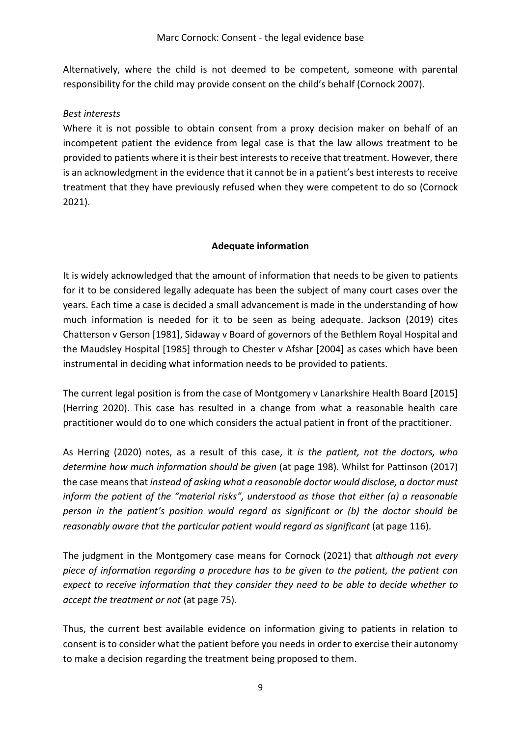Alternatively, where the child is not deemed to be competent, someone with parental responsibility for the child may provide consent on the child's behalf (Cornock 2007).

#### *Best interests*

Where it is not possible to obtain consent from a proxy decision maker on behalf of an incompetent patient the evidence from legal case is that the law allows treatment to be provided to patients where it is their best interests to receive that treatment. However, there is an acknowledgment in the evidence that it cannot be in a patient's best interests to receive treatment that they have previously refused when they were competent to do so (Cornock 2021).

#### **Adequate information**

It is widely acknowledged that the amount of information that needs to be given to patients for it to be considered legally adequate has been the subject of many court cases over the years. Each time a case is decided a small advancement is made in the understanding of how much information is needed for it to be seen as being adequate. Jackson (2019) cites Chatterson v Gerson [1981], Sidaway v Board of governors of the Bethlem Royal Hospital and the Maudsley Hospital [1985] through to Chester v Afshar [2004] as cases which have been instrumental in deciding what information needs to be provided to patients.

The current legal position is from the case of Montgomery v Lanarkshire Health Board [2015] (Herring 2020). This case has resulted in a change from what a reasonable health care practitioner would do to one which considers the actual patient in front of the practitioner.

As Herring (2020) notes, as a result of this case, it *is the patient, not the doctors, who determine how much information should be given* (at page 198). Whilst for Pattinson (2017) the case means that *instead of asking what a reasonable doctor would disclose, a doctor must inform the patient of the "material risks", understood as those that either (a) a reasonable person in the patient's position would regard as significant or (b) the doctor should be reasonably aware that the particular patient would regard as significant (at page 116).* 

The judgment in the Montgomery case means for Cornock (2021) that *although not every piece of information regarding a procedure has to be given to the patient, the patient can expect to receive information that they consider they need to be able to decide whether to accept the treatment or not* (at page 75).

Thus, the current best available evidence on information giving to patients in relation to consent is to consider what the patient before you needs in order to exercise their autonomy to make a decision regarding the treatment being proposed to them.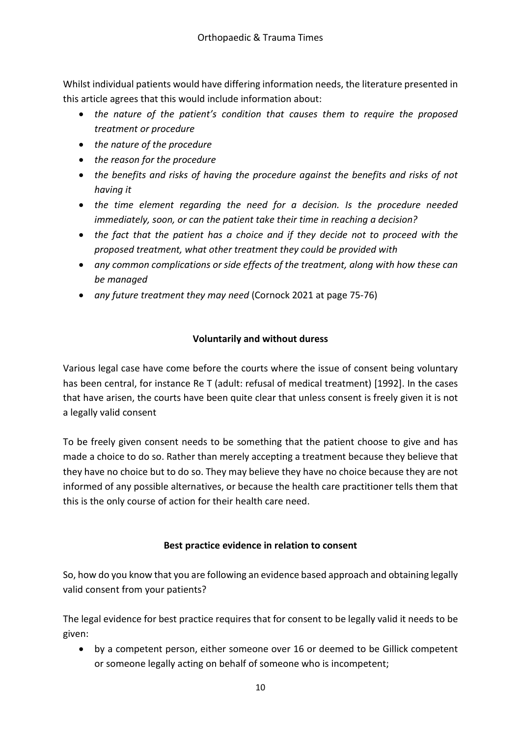Whilst individual patients would have differing information needs, the literature presented in this article agrees that this would include information about:

- *the nature of the patient's condition that causes them to require the proposed treatment or procedure*
- *the nature of the procedure*
- *the reason for the procedure*
- *the benefits and risks of having the procedure against the benefits and risks of not having it*
- *the time element regarding the need for a decision. Is the procedure needed immediately, soon, or can the patient take their time in reaching a decision?*
- *the fact that the patient has a choice and if they decide not to proceed with the proposed treatment, what other treatment they could be provided with*
- *any common complications or side effects of the treatment, along with how these can be managed*
- *any future treatment they may need* (Cornock 2021 at page 75-76)

#### **Voluntarily and without duress**

Various legal case have come before the courts where the issue of consent being voluntary has been central, for instance Re T (adult: refusal of medical treatment) [1992]. In the cases that have arisen, the courts have been quite clear that unless consent is freely given it is not a legally valid consent

To be freely given consent needs to be something that the patient choose to give and has made a choice to do so. Rather than merely accepting a treatment because they believe that they have no choice but to do so. They may believe they have no choice because they are not informed of any possible alternatives, or because the health care practitioner tells them that this is the only course of action for their health care need.

#### **Best practice evidence in relation to consent**

So, how do you know that you are following an evidence based approach and obtaining legally valid consent from your patients?

The legal evidence for best practice requires that for consent to be legally valid it needs to be given:

• by a competent person, either someone over 16 or deemed to be Gillick competent or someone legally acting on behalf of someone who is incompetent;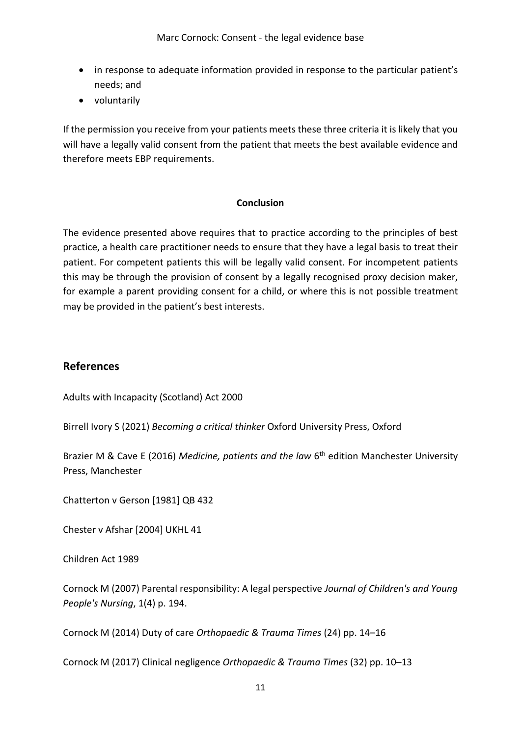- in response to adequate information provided in response to the particular patient's needs; and
- voluntarily

If the permission you receive from your patients meets these three criteria it is likely that you will have a legally valid consent from the patient that meets the best available evidence and therefore meets EBP requirements.

#### **Conclusion**

The evidence presented above requires that to practice according to the principles of best practice, a health care practitioner needs to ensure that they have a legal basis to treat their patient. For competent patients this will be legally valid consent. For incompetent patients this may be through the provision of consent by a legally recognised proxy decision maker, for example a parent providing consent for a child, or where this is not possible treatment may be provided in the patient's best interests.

#### **References**

Adults with Incapacity (Scotland) Act 2000

Birrell Ivory S (2021) *Becoming a critical thinker* Oxford University Press, Oxford

Brazier M & Cave E (2016) *Medicine, patients and the law* 6<sup>th</sup> edition Manchester University Press, Manchester

Chatterton v Gerson [1981] QB 432

Chester v Afshar [2004] UKHL 41

Children Act 1989

Cornock M (2007) Parental responsibility: A legal perspective *Journal of Children's and Young People's Nursing*, 1(4) p. 194.

Cornock M (2014) Duty of care *Orthopaedic & Trauma Times* (24) pp. 14–16

Cornock M (2017) Clinical negligence *Orthopaedic & Trauma Times* (32) pp. 10–13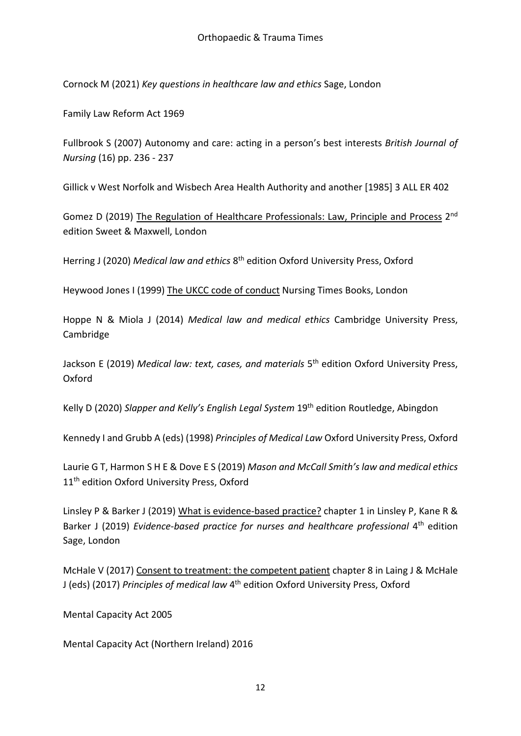Cornock M (2021) *Key questions in healthcare law and ethics* Sage, London

Family Law Reform Act 1969

Fullbrook S (2007) Autonomy and care: acting in a person's best interests *British Journal of Nursing* (16) pp. 236 - 237

Gillick v West Norfolk and Wisbech Area Health Authority and another [1985] 3 ALL ER 402

Gomez D (2019) The Regulation of Healthcare Professionals: Law, Principle and Process 2<sup>nd</sup> edition Sweet & Maxwell, London

Herring J (2020) *Medical law and ethics* 8th edition Oxford University Press, Oxford

Heywood Jones I (1999) The UKCC code of conduct Nursing Times Books, London

Hoppe N & Miola J (2014) *Medical law and medical ethics* Cambridge University Press, Cambridge

Jackson E (2019) *Medical law: text, cases, and materials* 5th edition Oxford University Press, Oxford

Kelly D (2020) *Slapper and Kelly's English Legal System* 19th edition Routledge, Abingdon

Kennedy I and Grubb A (eds) (1998) *Principles of Medical Law* Oxford University Press, Oxford

Laurie G T, Harmon S H E & Dove E S (2019) *Mason and McCall Smith's law and medical ethics* 11<sup>th</sup> edition Oxford University Press, Oxford

Linsley P & Barker J (2019) What is evidence-based practice? chapter 1 in Linsley P, Kane R & Barker J (2019) *Evidence-based practice for nurses and healthcare professional* 4<sup>th</sup> edition Sage, London

McHale V (2017) Consent to treatment: the competent patient chapter 8 in Laing J & McHale J (eds) (2017) *Principles of medical law* 4th edition Oxford University Press, Oxford

Mental Capacity Act 2005

Mental Capacity Act (Northern Ireland) 2016